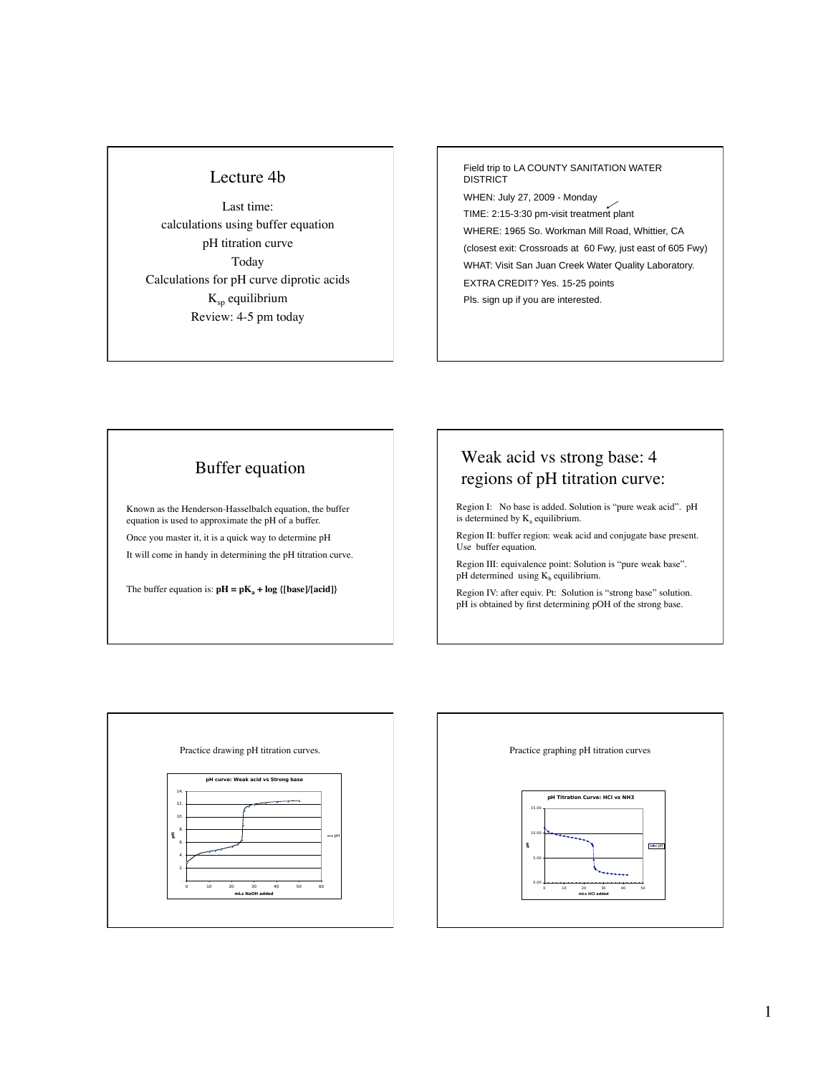## Lecture 4b

Last time: calculations using buffer equation pH titration curve Today Calculations for pH curve diprotic acids  $K_{sp}$  equilibrium Review: 4-5 pm today

Field trip to LA COUNTY SANITATION WATER **DISTRICT** WHEN: July 27, 2009 - Monday TIME: 2:15-3:30 pm-visit treatment plant WHERE: 1965 So. Workman Mill Road, Whittier, CA (closest exit: Crossroads at 60 Fwy, just east of 605 Fwy) WHAT: Visit San Juan Creek Water Quality Laboratory. EXTRA CREDIT? Yes. 15-25 points Pls. sign up if you are interested.

## Buffer equation

Known as the Henderson-Hasselbalch equation, the buffer equation is used to approximate the pH of a buffer. Once you master it, it is a quick way to determine pH It will come in handy in determining the pH titration curve.

The buffer equation is:  $pH = pK_a + log {[base]/[acid]}$ 

## Weak acid vs strong base: 4 regions of pH titration curve:

Region I: No base is added. Solution is "pure weak acid". pH is determined by  $K_a$  equilibrium.

Region II: buffer region: weak acid and conjugate base present. Use buffer equation.

Region III: equivalence point: Solution is "pure weak base". pH determined using  $K_b$  equilibrium.

Region IV: after equiv. Pt: Solution is "strong base" solution. pH is obtained by first determining pOH of the strong base.